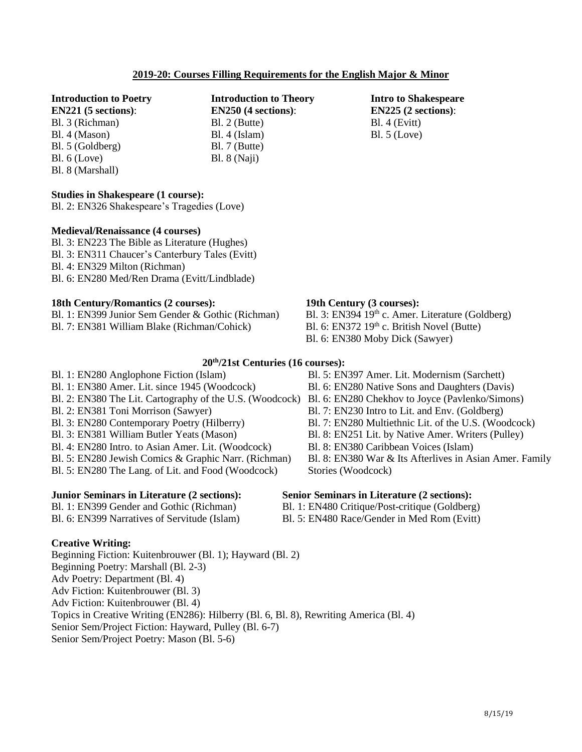# **2019-20: Courses Filling Requirements for the English Major & Minor**

# **Introduction to Poetry**

**EN221 (5 sections)**: Bl. 3 (Richman) Bl. 4 (Mason) Bl. 5 (Goldberg) Bl. 6 (Love) Bl. 8 (Marshall)

# **Studies in Shakespeare (1 course):**

Bl. 2: EN326 Shakespeare's Tragedies (Love)

# **Medieval/Renaissance (4 courses)**

Bl. 3: EN223 The Bible as Literature (Hughes) Bl. 3: EN311 Chaucer's Canterbury Tales (Evitt) Bl. 4: EN329 Milton (Richman) Bl. 6: EN280 Med/Ren Drama (Evitt/Lindblade)

# **18th Century/Romantics (2 courses):**

Bl. 1: EN399 Junior Sem Gender & Gothic (Richman) Bl. 7: EN381 William Blake (Richman/Cohick)

**20 th/21st Centuries (16 courses):** Bl. 1: EN280 Anglophone Fiction (Islam) Bl. 1: EN380 Amer. Lit. since 1945 (Woodcock) Bl. 2: EN380 The Lit. Cartography of the U.S. (Woodcock) Bl. 6: EN280 Chekhov to Joyce (Pavlenko/Simons) Bl. 2: EN381 Toni Morrison (Sawyer) Bl. 3: EN280 Contemporary Poetry (Hilberry) Bl. 3: EN381 William Butler Yeats (Mason) Bl. 4: EN280 Intro. to Asian Amer. Lit. (Woodcock) Bl. 5: EN280 Jewish Comics & Graphic Narr. (Richman) Bl. 5: EN280 The Lang. of Lit. and Food (Woodcock)

### **Junior Seminars in Literature (2 sections):**

Bl. 1: EN399 Gender and Gothic (Richman) Bl. 6: EN399 Narratives of Servitude (Islam)

# **Creative Writing:**

Beginning Fiction: Kuitenbrouwer (Bl. 1); Hayward (Bl. 2) Beginning Poetry: Marshall (Bl. 2-3) Adv Poetry: Department (Bl. 4) Adv Fiction: Kuitenbrouwer (Bl. 3) Adv Fiction: Kuitenbrouwer (Bl. 4) Topics in Creative Writing (EN286): Hilberry (Bl. 6, Bl. 8), Rewriting America (Bl. 4) Senior Sem/Project Fiction: Hayward, Pulley (Bl. 6-7) Senior Sem/Project Poetry: Mason (Bl. 5-6)

# **19th Century (3 courses):**

- Bl. 3: EN394 19<sup>th</sup> c. Amer. Literature (Goldberg) Bl. 6: EN372 19<sup>th</sup> c. British Novel (Butte) Bl. 6: EN380 Moby Dick (Sawyer)
- 
- Bl. 5: EN397 Amer. Lit. Modernism (Sarchett)
- Bl. 6: EN280 Native Sons and Daughters (Davis)
- 
- Bl. 7: EN230 Intro to Lit. and Env. (Goldberg)
- Bl. 7: EN280 Multiethnic Lit. of the U.S. (Woodcock)
- Bl. 8: EN251 Lit. by Native Amer. Writers (Pulley)
- 

#### **Senior Seminars in Literature (2 sections):**

- Bl. 1: EN480 Critique/Post-critique (Goldberg)
- Bl. 5: EN480 Race/Gender in Med Rom (Evitt)

- Bl. 8: EN380 Caribbean Voices (Islam)
- Bl. 8: EN380 War & Its Afterlives in Asian Amer. Family Stories (Woodcock)

**Introduction to Theory EN250 (4 sections)**:

Bl. 2 (Butte) Bl. 4 (Islam) Bl. 7 (Butte) Bl. 8 (Naji)

**Intro to Shakespeare EN225 (2 sections)**: Bl. 4 (Evitt) Bl. 5 (Love)